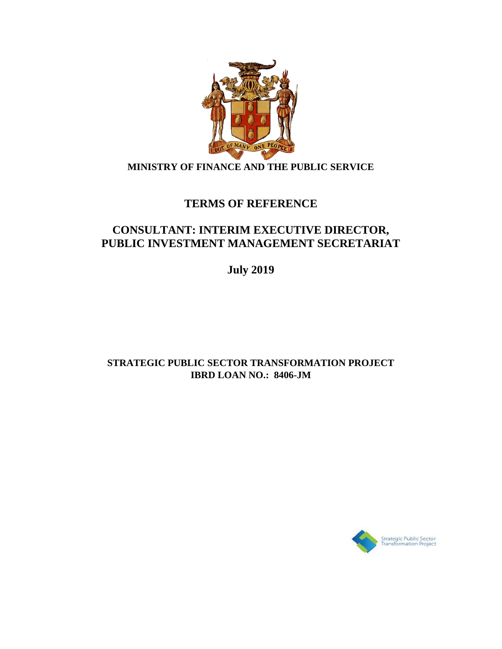

## **MINISTRY OF FINANCE AND THE PUBLIC SERVICE**

# **TERMS OF REFERENCE**

# **CONSULTANT: INTERIM EXECUTIVE DIRECTOR, PUBLIC INVESTMENT MANAGEMENT SECRETARIAT**

**July 2019**

## **STRATEGIC PUBLIC SECTOR TRANSFORMATION PROJECT IBRD LOAN NO.: 8406-JM**

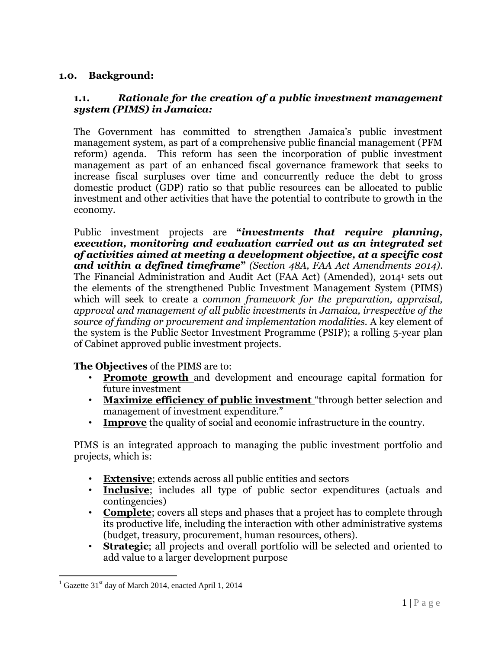### **1.0. Background:**

#### **1.1.** *Rationale for the creation of a public investment management system (PIMS) in Jamaica:*

The Government has committed to strengthen Jamaica's public investment management system, as part of a comprehensive public financial management (PFM reform) agenda. This reform has seen the incorporation of public investment management as part of an enhanced fiscal governance framework that seeks to increase fiscal surpluses over time and concurrently reduce the debt to gross domestic product (GDP) ratio so that public resources can be allocated to public investment and other activities that have the potential to contribute to growth in the economy.

Public investment projects are **"***investments that require planning, execution, monitoring and evaluation carried out as an integrated set of activities aimed at meeting a development objective, at a specific cost and within a defined timeframe***"** *(Section 48A, FAA Act Amendments 2014)*. The Financial Administration and Audit Act (FAA Act) (Amended), 2014<sup>1</sup> sets out the elements of the strengthened Public Investment Management System (PIMS) which will seek to create a *common framework for the preparation, appraisal, approval and management of all public investments in Jamaica, irrespective of the source of funding or procurement and implementation modalities.* A key element of the system is the Public Sector Investment Programme (PSIP); a rolling 5-year plan of Cabinet approved public investment projects.

**The Objectives** of the PIMS are to:

- **Promote growth** and development and encourage capital formation for future investment
- **Maximize efficiency of public investment** "through better selection and management of investment expenditure."
- **Improve** the quality of social and economic infrastructure in the country.

PIMS is an integrated approach to managing the public investment portfolio and projects, which is:

- **Extensive**; extends across all public entities and sectors
- **Inclusive**; includes all type of public sector expenditures (actuals and contingencies)
- **Complete**; covers all steps and phases that a project has to complete through its productive life, including the interaction with other administrative systems (budget, treasury, procurement, human resources, others).
- **Strategic**; all projects and overall portfolio will be selected and oriented to add value to a larger development purpose

 $\overline{a}$ 

 $1$  Gazette 31<sup>st</sup> day of March 2014, enacted April 1, 2014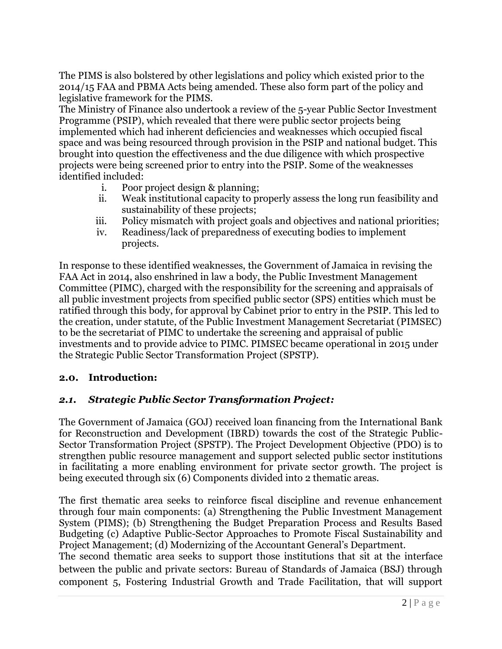The PIMS is also bolstered by other legislations and policy which existed prior to the 2014/15 FAA and PBMA Acts being amended. These also form part of the policy and legislative framework for the PIMS.

The Ministry of Finance also undertook a review of the 5-year Public Sector Investment Programme (PSIP), which revealed that there were public sector projects being implemented which had inherent deficiencies and weaknesses which occupied fiscal space and was being resourced through provision in the PSIP and national budget. This brought into question the effectiveness and the due diligence with which prospective projects were being screened prior to entry into the PSIP. Some of the weaknesses identified included:

- i. Poor project design & planning;
- ii. Weak institutional capacity to properly assess the long run feasibility and sustainability of these projects;
- iii. Policy mismatch with project goals and objectives and national priorities;
- iv. Readiness/lack of preparedness of executing bodies to implement projects.

In response to these identified weaknesses, the Government of Jamaica in revising the FAA Act in 2014, also enshrined in law a body, the Public Investment Management Committee (PIMC), charged with the responsibility for the screening and appraisals of all public investment projects from specified public sector (SPS) entities which must be ratified through this body, for approval by Cabinet prior to entry in the PSIP. This led to the creation, under statute, of the Public Investment Management Secretariat (PIMSEC) to be the secretariat of PIMC to undertake the screening and appraisal of public investments and to provide advice to PIMC. PIMSEC became operational in 2015 under the Strategic Public Sector Transformation Project (SPSTP).

### **2.0. Introduction:**

### *2.1. Strategic Public Sector Transformation Project:*

The Government of Jamaica (GOJ) received loan financing from the International Bank for Reconstruction and Development (IBRD) towards the cost of the Strategic Public-Sector Transformation Project (SPSTP). The Project Development Objective (PDO) is to strengthen public resource management and support selected public sector institutions in facilitating a more enabling environment for private sector growth. The project is being executed through six (6) Components divided into 2 thematic areas.

The first thematic area seeks to reinforce fiscal discipline and revenue enhancement through four main components: (a) Strengthening the Public Investment Management System (PIMS); (b) Strengthening the Budget Preparation Process and Results Based Budgeting (c) Adaptive Public-Sector Approaches to Promote Fiscal Sustainability and Project Management; (d) Modernizing of the Accountant General's Department.

The second thematic area seeks to support those institutions that sit at the interface between the public and private sectors: Bureau of Standards of Jamaica (BSJ) through component 5, Fostering Industrial Growth and Trade Facilitation, that will support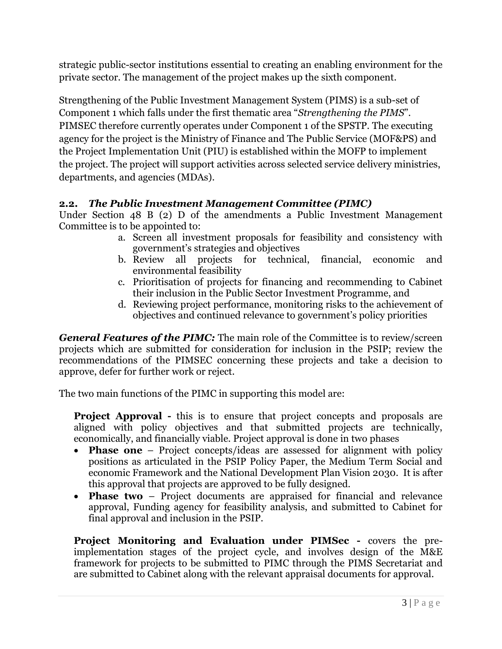strategic public-sector institutions essential to creating an enabling environment for the private sector. The management of the project makes up the sixth component.

Strengthening of the Public Investment Management System (PIMS) is a sub-set of Component 1 which falls under the first thematic area "*Strengthening the PIMS*". PIMSEC therefore currently operates under Component 1 of the SPSTP. The executing agency for the project is the Ministry of Finance and The Public Service (MOF&PS) and the Project Implementation Unit (PIU) is established within the MOFP to implement the project. The project will support activities across selected service delivery ministries, departments, and agencies (MDAs).

### **2.2.** *The Public Investment Management Committee (PIMC)*

Under Section 48 B (2) D of the amendments a Public Investment Management Committee is to be appointed to:

- a. Screen all investment proposals for feasibility and consistency with government's strategies and objectives
- b. Review all projects for technical, financial, economic and environmental feasibility
- c. Prioritisation of projects for financing and recommending to Cabinet their inclusion in the Public Sector Investment Programme, and
- d. Reviewing project performance, monitoring risks to the achievement of objectives and continued relevance to government's policy priorities

*General Features of the PIMC:* The main role of the Committee is to review/screen projects which are submitted for consideration for inclusion in the PSIP; review the recommendations of the PIMSEC concerning these projects and take a decision to approve, defer for further work or reject.

The two main functions of the PIMC in supporting this model are:

**Project Approval -** this is to ensure that project concepts and proposals are aligned with policy objectives and that submitted projects are technically, economically, and financially viable. Project approval is done in two phases

- **Phase one** Project concepts/ideas are assessed for alignment with policy positions as articulated in the PSIP Policy Paper, the Medium Term Social and economic Framework and the National Development Plan Vision 2030. It is after this approval that projects are approved to be fully designed.
- **Phase two** Project documents are appraised for financial and relevance approval, Funding agency for feasibility analysis, and submitted to Cabinet for final approval and inclusion in the PSIP.

**Project Monitoring and Evaluation under PIMSec -** covers the preimplementation stages of the project cycle, and involves design of the M&E framework for projects to be submitted to PIMC through the PIMS Secretariat and are submitted to Cabinet along with the relevant appraisal documents for approval.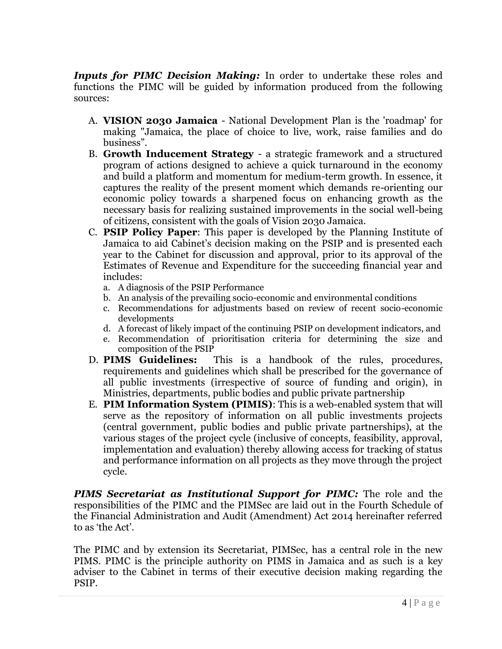*Inputs for PIMC Decision Making:* In order to undertake these roles and functions the PIMC will be guided by information produced from the following sources:

- A. **VISION 2030 Jamaica** National Development Plan is the 'roadmap' for making "Jamaica, the place of choice to live, work, raise families and do business".
- B. **Growth Inducement Strategy**  a strategic framework and a structured program of actions designed to achieve a quick turnaround in the economy and build a platform and momentum for medium-term growth. In essence, it captures the reality of the present moment which demands re-orienting our economic policy towards a sharpened focus on enhancing growth as the necessary basis for realizing sustained improvements in the social well-being of citizens, consistent with the goals of Vision 2030 Jamaica.
- C. **PSIP Policy Paper**: This paper is developed by the Planning Institute of Jamaica to aid Cabinet's decision making on the PSIP and is presented each year to the Cabinet for discussion and approval, prior to its approval of the Estimates of Revenue and Expenditure for the succeeding financial year and includes:
	- a. A diagnosis of the PSIP Performance
	- b. An analysis of the prevailing socio-economic and environmental conditions
	- c. Recommendations for adjustments based on review of recent socio-economic developments
	- d. A forecast of likely impact of the continuing PSIP on development indicators, and
	- e. Recommendation of prioritisation criteria for determining the size and composition of the PSIP
- D. **PIMS Guidelines:** This is a handbook of the rules, procedures, requirements and guidelines which shall be prescribed for the governance of all public investments (irrespective of source of funding and origin), in Ministries, departments, public bodies and public private partnership
- E. **PIM Information System (PIMIS)**: This is a web-enabled system that will serve as the repository of information on all public investments projects (central government, public bodies and public private partnerships), at the various stages of the project cycle (inclusive of concepts, feasibility, approval, implementation and evaluation) thereby allowing access for tracking of status and performance information on all projects as they move through the project cycle.

*PIMS Secretariat as Institutional Support for PIMC:* The role and the responsibilities of the PIMC and the PIMSec are laid out in the Fourth Schedule of the Financial Administration and Audit (Amendment) Act 2014 hereinafter referred to as 'the Act'.

The PIMC and by extension its Secretariat, PIMSec, has a central role in the new PIMS. PIMC is the principle authority on PIMS in Jamaica and as such is a key adviser to the Cabinet in terms of their executive decision making regarding the PSIP.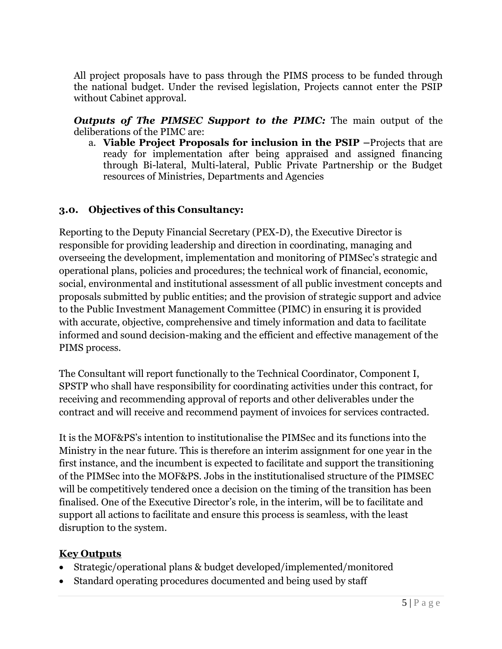All project proposals have to pass through the PIMS process to be funded through the national budget. Under the revised legislation, Projects cannot enter the PSIP without Cabinet approval.

*Outputs of The PIMSEC Support to the PIMC:* The main output of the deliberations of the PIMC are:

a. **Viable Project Proposals for inclusion in the PSIP –**Projects that are ready for implementation after being appraised and assigned financing through Bi-lateral, Multi-lateral, Public Private Partnership or the Budget resources of Ministries, Departments and Agencies

### **3.0. Objectives of this Consultancy:**

Reporting to the Deputy Financial Secretary (PEX-D), the Executive Director is responsible for providing leadership and direction in coordinating, managing and overseeing the development, implementation and monitoring of PIMSec's strategic and operational plans, policies and procedures; the technical work of financial, economic, social, environmental and institutional assessment of all public investment concepts and proposals submitted by public entities; and the provision of strategic support and advice to the Public Investment Management Committee (PIMC) in ensuring it is provided with accurate, objective, comprehensive and timely information and data to facilitate informed and sound decision-making and the efficient and effective management of the PIMS process.

The Consultant will report functionally to the Technical Coordinator, Component I, SPSTP who shall have responsibility for coordinating activities under this contract, for receiving and recommending approval of reports and other deliverables under the contract and will receive and recommend payment of invoices for services contracted.

It is the MOF&PS's intention to institutionalise the PIMSec and its functions into the Ministry in the near future. This is therefore an interim assignment for one year in the first instance, and the incumbent is expected to facilitate and support the transitioning of the PIMSec into the MOF&PS. Jobs in the institutionalised structure of the PIMSEC will be competitively tendered once a decision on the timing of the transition has been finalised. One of the Executive Director's role, in the interim, will be to facilitate and support all actions to facilitate and ensure this process is seamless, with the least disruption to the system.

### **Key Outputs**

- Strategic/operational plans & budget developed/implemented/monitored
- Standard operating procedures documented and being used by staff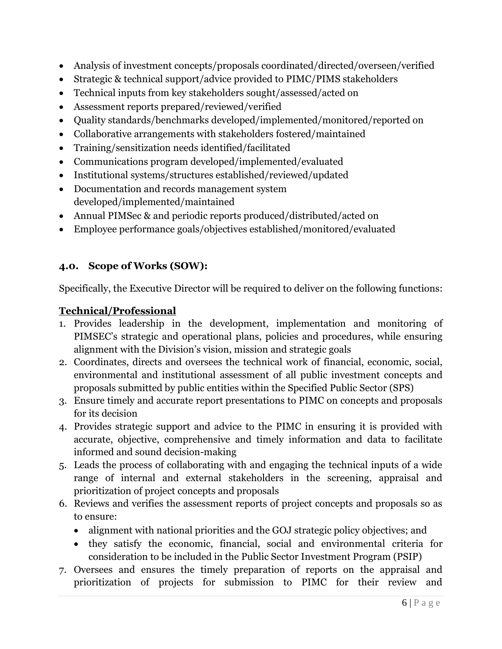- Analysis of investment concepts/proposals coordinated/directed/overseen/verified
- Strategic & technical support/advice provided to PIMC/PIMS stakeholders
- Technical inputs from key stakeholders sought/assessed/acted on
- Assessment reports prepared/reviewed/verified
- Quality standards/benchmarks developed/implemented/monitored/reported on
- Collaborative arrangements with stakeholders fostered/maintained
- Training/sensitization needs identified/facilitated
- Communications program developed/implemented/evaluated
- Institutional systems/structures established/reviewed/updated
- Documentation and records management system developed/implemented/maintained
- Annual PIMSec & and periodic reports produced/distributed/acted on
- Employee performance goals/objectives established/monitored/evaluated

## **4.0. Scope of Works (SOW):**

Specifically, the Executive Director will be required to deliver on the following functions:

## **Technical/Professional**

- 1. Provides leadership in the development, implementation and monitoring of PIMSEC's strategic and operational plans, policies and procedures, while ensuring alignment with the Division's vision, mission and strategic goals
- 2. Coordinates, directs and oversees the technical work of financial, economic, social, environmental and institutional assessment of all public investment concepts and proposals submitted by public entities within the Specified Public Sector (SPS)
- 3. Ensure timely and accurate report presentations to PIMC on concepts and proposals for its decision
- 4. Provides strategic support and advice to the PIMC in ensuring it is provided with accurate, objective, comprehensive and timely information and data to facilitate informed and sound decision-making
- 5. Leads the process of collaborating with and engaging the technical inputs of a wide range of internal and external stakeholders in the screening, appraisal and prioritization of project concepts and proposals
- 6. Reviews and verifies the assessment reports of project concepts and proposals so as to ensure:
	- alignment with national priorities and the GOJ strategic policy objectives; and
	- they satisfy the economic, financial, social and environmental criteria for consideration to be included in the Public Sector Investment Program (PSIP)
- 7. Oversees and ensures the timely preparation of reports on the appraisal and prioritization of projects for submission to PIMC for their review and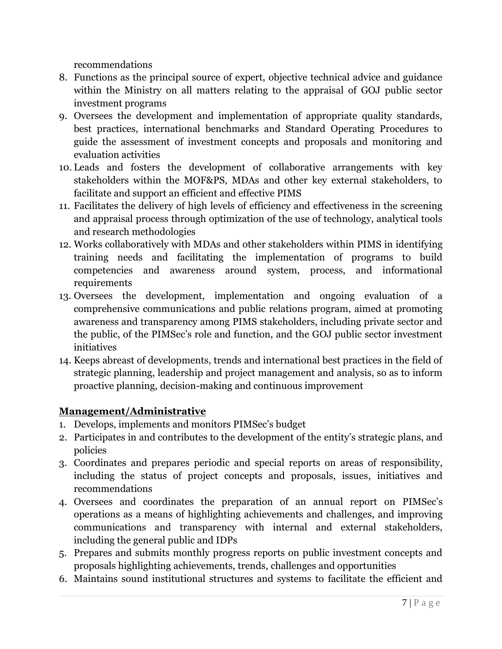recommendations

- 8. Functions as the principal source of expert, objective technical advice and guidance within the Ministry on all matters relating to the appraisal of GOJ public sector investment programs
- 9. Oversees the development and implementation of appropriate quality standards, best practices, international benchmarks and Standard Operating Procedures to guide the assessment of investment concepts and proposals and monitoring and evaluation activities
- 10. Leads and fosters the development of collaborative arrangements with key stakeholders within the MOF&PS, MDAs and other key external stakeholders, to facilitate and support an efficient and effective PIMS
- 11. Facilitates the delivery of high levels of efficiency and effectiveness in the screening and appraisal process through optimization of the use of technology, analytical tools and research methodologies
- 12. Works collaboratively with MDAs and other stakeholders within PIMS in identifying training needs and facilitating the implementation of programs to build competencies and awareness around system, process, and informational requirements
- 13. Oversees the development, implementation and ongoing evaluation of a comprehensive communications and public relations program, aimed at promoting awareness and transparency among PIMS stakeholders, including private sector and the public, of the PIMSec's role and function, and the GOJ public sector investment initiatives
- 14. Keeps abreast of developments, trends and international best practices in the field of strategic planning, leadership and project management and analysis, so as to inform proactive planning, decision-making and continuous improvement

# **Management/Administrative**

- 1. Develops, implements and monitors PIMSec's budget
- 2. Participates in and contributes to the development of the entity's strategic plans, and policies
- 3. Coordinates and prepares periodic and special reports on areas of responsibility, including the status of project concepts and proposals, issues, initiatives and recommendations
- 4. Oversees and coordinates the preparation of an annual report on PIMSec's operations as a means of highlighting achievements and challenges, and improving communications and transparency with internal and external stakeholders, including the general public and IDPs
- 5. Prepares and submits monthly progress reports on public investment concepts and proposals highlighting achievements, trends, challenges and opportunities
- 6. Maintains sound institutional structures and systems to facilitate the efficient and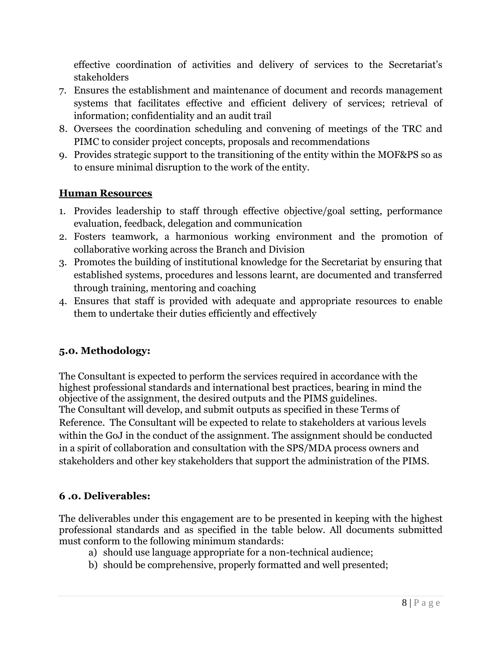effective coordination of activities and delivery of services to the Secretariat's stakeholders

- 7. Ensures the establishment and maintenance of document and records management systems that facilitates effective and efficient delivery of services; retrieval of information; confidentiality and an audit trail
- 8. Oversees the coordination scheduling and convening of meetings of the TRC and PIMC to consider project concepts, proposals and recommendations
- 9. Provides strategic support to the transitioning of the entity within the MOF&PS so as to ensure minimal disruption to the work of the entity.

### **Human Resources**

- 1. Provides leadership to staff through effective objective/goal setting, performance evaluation, feedback, delegation and communication
- 2. Fosters teamwork, a harmonious working environment and the promotion of collaborative working across the Branch and Division
- 3. Promotes the building of institutional knowledge for the Secretariat by ensuring that established systems, procedures and lessons learnt, are documented and transferred through training, mentoring and coaching
- 4. Ensures that staff is provided with adequate and appropriate resources to enable them to undertake their duties efficiently and effectively

## **5.0. Methodology:**

The Consultant is expected to perform the services required in accordance with the highest professional standards and international best practices, bearing in mind the objective of the assignment, the desired outputs and the PIMS guidelines. The Consultant will develop, and submit outputs as specified in these Terms of Reference. The Consultant will be expected to relate to stakeholders at various levels within the GoJ in the conduct of the assignment. The assignment should be conducted in a spirit of collaboration and consultation with the SPS/MDA process owners and stakeholders and other key stakeholders that support the administration of the PIMS.

### **6 .0. Deliverables:**

The deliverables under this engagement are to be presented in keeping with the highest professional standards and as specified in the table below. All documents submitted must conform to the following minimum standards:

- a) should use language appropriate for a non-technical audience;
- b) should be comprehensive, properly formatted and well presented;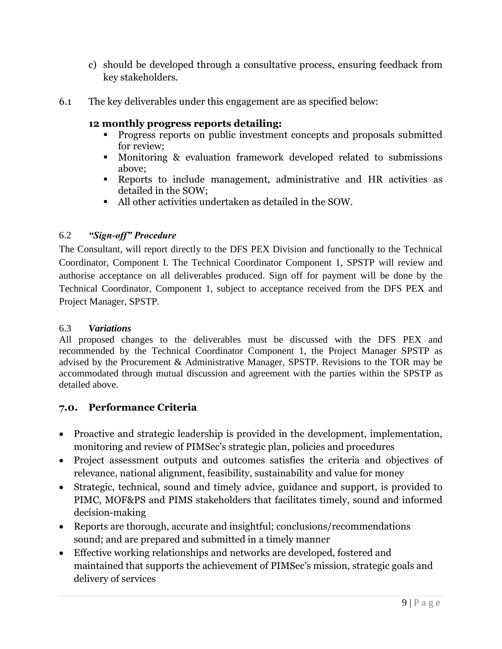- c) should be developed through a consultative process, ensuring feedback from key stakeholders.
- 6.1 The key deliverables under this engagement are as specified below:

### **12 monthly progress reports detailing:**

- **Progress reports on public investment concepts and proposals submitted** for review;
- Monitoring & evaluation framework developed related to submissions above;
- Reports to include management, administrative and HR activities as detailed in the SOW;
- All other activities undertaken as detailed in the SOW.

## 6.2 *"Sign-off" Procedure*

The Consultant, will report directly to the DFS PEX Division and functionally to the Technical Coordinator, Component I. The Technical Coordinator Component 1, SPSTP will review and authorise acceptance on all deliverables produced. Sign off for payment will be done by the Technical Coordinator, Component 1, subject to acceptance received from the DFS PEX and Project Manager, SPSTP.

### 6.3 *Variations*

All proposed changes to the deliverables must be discussed with the DFS PEX and recommended by the Technical Coordinator Component 1, the Project Manager SPSTP as advised by the Procurement & Administrative Manager, SPSTP. Revisions to the TOR may be accommodated through mutual discussion and agreement with the parties within the SPSTP as detailed above.

## **7.0. Performance Criteria**

- Proactive and strategic leadership is provided in the development, implementation, monitoring and review of PIMSec's strategic plan, policies and procedures
- Project assessment outputs and outcomes satisfies the criteria and objectives of relevance, national alignment, feasibility, sustainability and value for money
- Strategic, technical, sound and timely advice, guidance and support, is provided to PIMC, MOF&PS and PIMS stakeholders that facilitates timely, sound and informed decision-making
- Reports are thorough, accurate and insightful; conclusions/recommendations sound; and are prepared and submitted in a timely manner
- Effective working relationships and networks are developed, fostered and maintained that supports the achievement of PIMSec's mission, strategic goals and delivery of services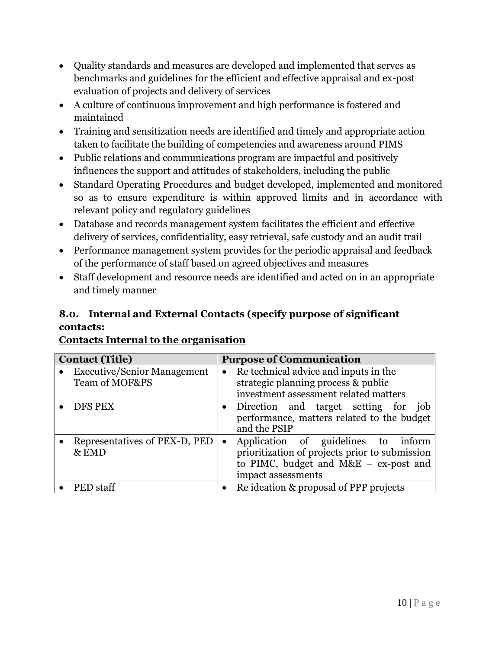- Quality standards and measures are developed and implemented that serves as benchmarks and guidelines for the efficient and effective appraisal and ex-post evaluation of projects and delivery of services
- A culture of continuous improvement and high performance is fostered and maintained
- Training and sensitization needs are identified and timely and appropriate action taken to facilitate the building of competencies and awareness around PIMS
- Public relations and communications program are impactful and positively influences the support and attitudes of stakeholders, including the public
- Standard Operating Procedures and budget developed, implemented and monitored so as to ensure expenditure is within approved limits and in accordance with relevant policy and regulatory guidelines
- Database and records management system facilitates the efficient and effective delivery of services, confidentiality, easy retrieval, safe custody and an audit trail
- Performance management system provides for the periodic appraisal and feedback of the performance of staff based on agreed objectives and measures
- Staff development and resource needs are identified and acted on in an appropriate and timely manner

# **8.0. Internal and External Contacts (specify purpose of significant contacts:**

# **Contacts Internal to the organisation**

| <b>Contact (Title)</b>                               | <b>Purpose of Communication</b>                                                                                                                                     |
|------------------------------------------------------|---------------------------------------------------------------------------------------------------------------------------------------------------------------------|
| <b>Executive/Senior Management</b><br>Team of MOF&PS | Re technical advice and inputs in the<br>$\bullet$<br>strategic planning process & public<br>investment assessment related matters                                  |
| DFS PEX                                              | • Direction and target setting for job<br>performance, matters related to the budget<br>and the PSIP                                                                |
| Representatives of PEX-D, PED<br>& EMD               | Application of guidelines to inform<br>$\bullet$<br>prioritization of projects prior to submission<br>to PIMC, budget and M&E $-$ ex-post and<br>impact assessments |
| <b>PED</b> staff                                     | Re ideation & proposal of PPP projects                                                                                                                              |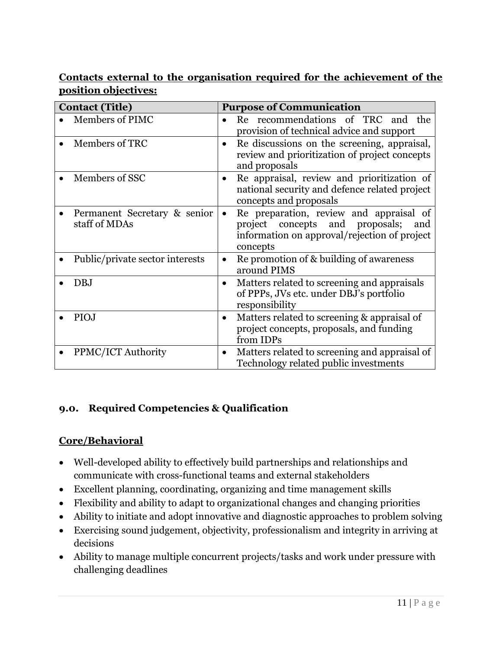### **Contacts external to the organisation required for the achievement of the position objectives:**

| <b>Contact (Title)</b>                        | <b>Purpose of Communication</b>                                                                                                                            |
|-----------------------------------------------|------------------------------------------------------------------------------------------------------------------------------------------------------------|
| Members of PIMC                               | Re recommendations of TRC and the<br>provision of technical advice and support                                                                             |
| Members of TRC                                | Re discussions on the screening, appraisal,<br>$\bullet$<br>review and prioritization of project concepts<br>and proposals                                 |
| Members of SSC                                | Re appraisal, review and prioritization of<br>$\bullet$<br>national security and defence related project<br>concepts and proposals                         |
| Permanent Secretary & senior<br>staff of MDAs | Re preparation, review and appraisal of<br>$\bullet$<br>project concepts and proposals;<br>and<br>information on approval/rejection of project<br>concepts |
| Public/private sector interests               | Repromotion of & building of awareness<br>$\bullet$<br>around PIMS                                                                                         |
| DBJ                                           | Matters related to screening and appraisals<br>$\bullet$<br>of PPPs, JVs etc. under DBJ's portfolio<br>responsibility                                      |
| PIOJ                                          | Matters related to screening & appraisal of<br>$\bullet$<br>project concepts, proposals, and funding<br>from IDPs                                          |
| PPMC/ICT Authority                            | Matters related to screening and appraisal of<br>$\bullet$<br>Technology related public investments                                                        |

# **9.0. Required Competencies & Qualification**

## **Core/Behavioral**

- Well-developed ability to effectively build partnerships and relationships and communicate with cross-functional teams and external stakeholders
- Excellent planning, coordinating, organizing and time management skills
- Flexibility and ability to adapt to organizational changes and changing priorities
- Ability to initiate and adopt innovative and diagnostic approaches to problem solving
- Exercising sound judgement, objectivity, professionalism and integrity in arriving at decisions
- Ability to manage multiple concurrent projects/tasks and work under pressure with challenging deadlines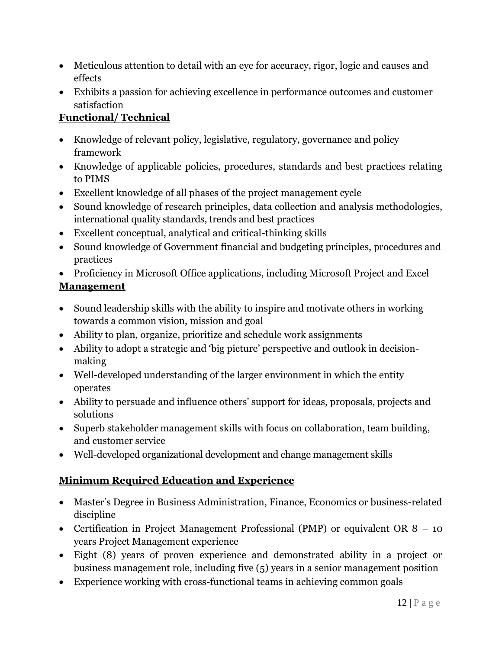- Meticulous attention to detail with an eye for accuracy, rigor, logic and causes and effects
- Exhibits a passion for achieving excellence in performance outcomes and customer satisfaction

# **Functional/ Technical**

- Knowledge of relevant policy, legislative, regulatory, governance and policy framework
- Knowledge of applicable policies, procedures, standards and best practices relating to PIMS
- Excellent knowledge of all phases of the project management cycle
- Sound knowledge of research principles, data collection and analysis methodologies, international quality standards, trends and best practices
- Excellent conceptual, analytical and critical-thinking skills
- Sound knowledge of Government financial and budgeting principles, procedures and practices
- Proficiency in Microsoft Office applications, including Microsoft Project and Excel **Management**
- Sound leadership skills with the ability to inspire and motivate others in working towards a common vision, mission and goal
- Ability to plan, organize, prioritize and schedule work assignments
- Ability to adopt a strategic and 'big picture' perspective and outlook in decisionmaking
- Well-developed understanding of the larger environment in which the entity operates
- Ability to persuade and influence others' support for ideas, proposals, projects and solutions
- Superb stakeholder management skills with focus on collaboration, team building, and customer service
- Well-developed organizational development and change management skills

# **Minimum Required Education and Experience**

- Master's Degree in Business Administration, Finance, Economics or business-related discipline
- Certification in Project Management Professional (PMP) or equivalent OR 8 10 years Project Management experience
- Eight (8) years of proven experience and demonstrated ability in a project or business management role, including five (5) years in a senior management position
- Experience working with cross-functional teams in achieving common goals